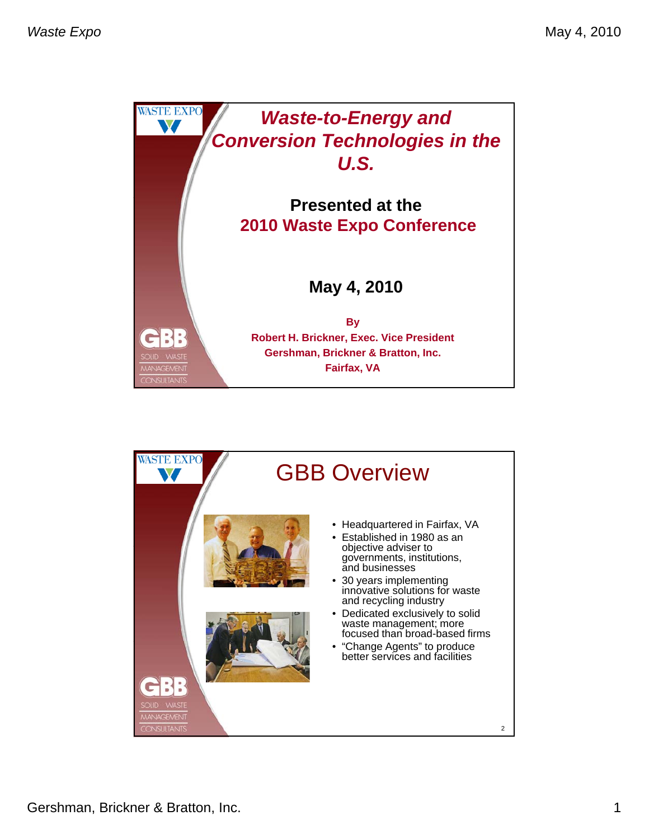

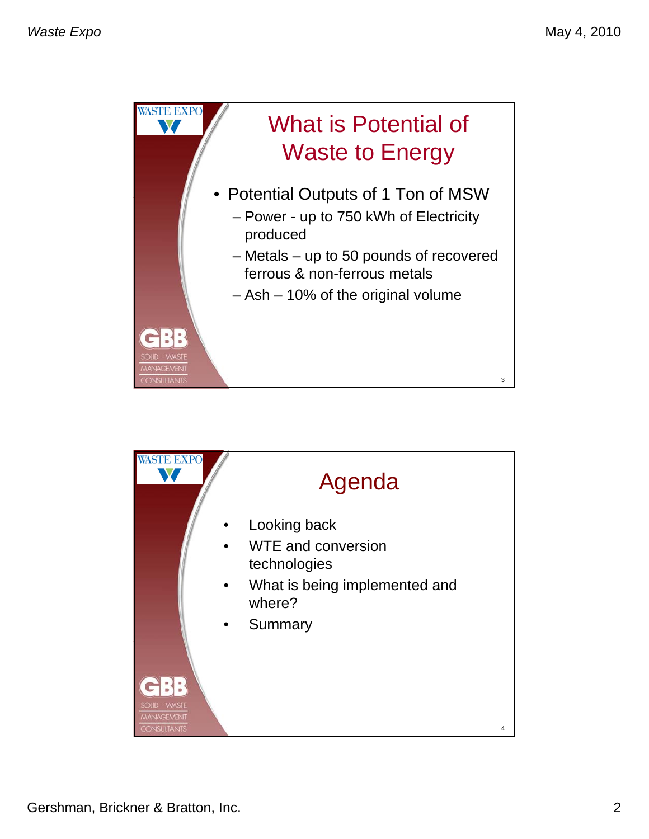

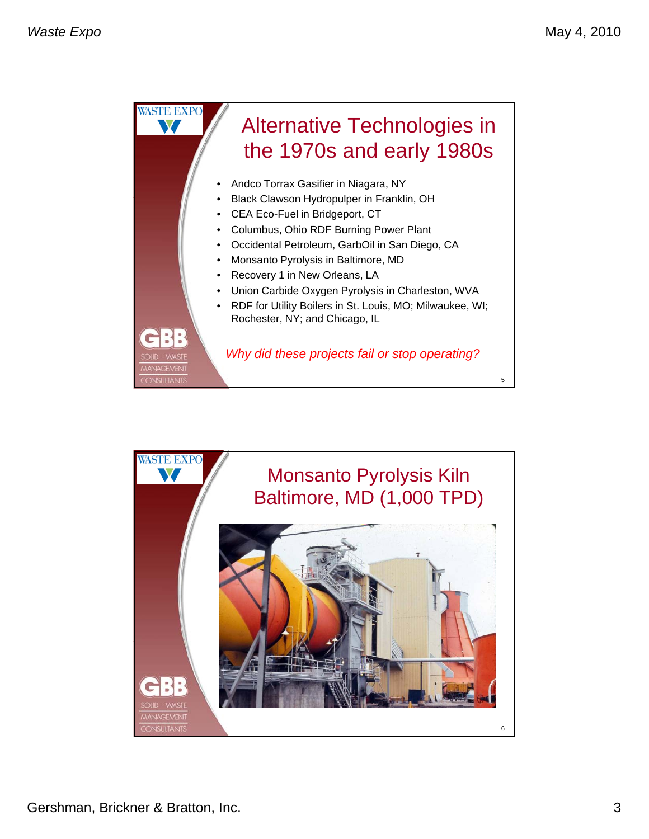

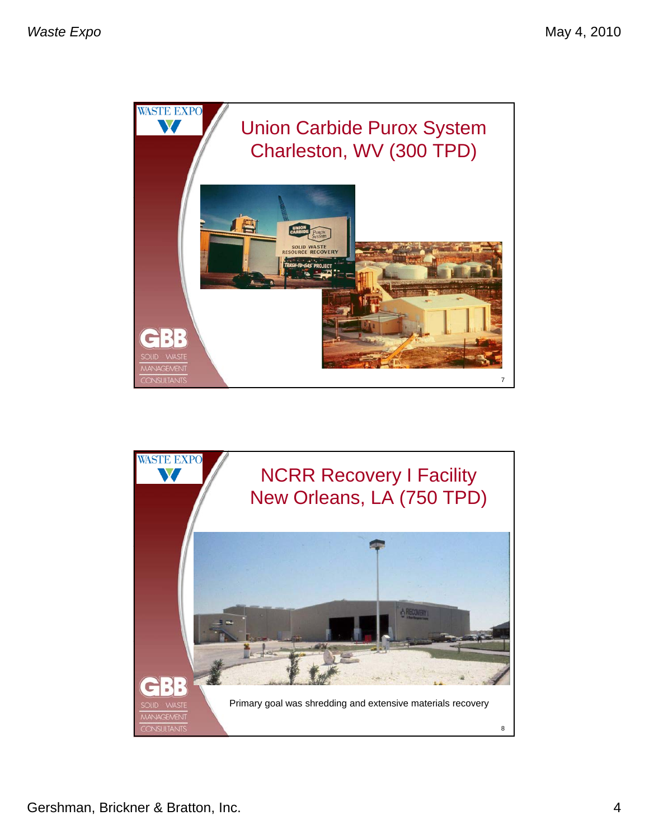

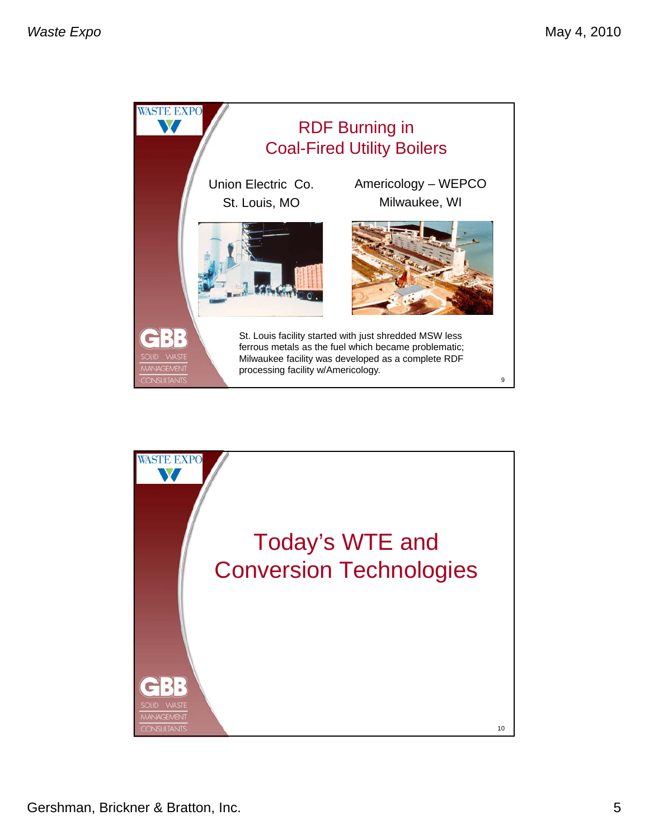

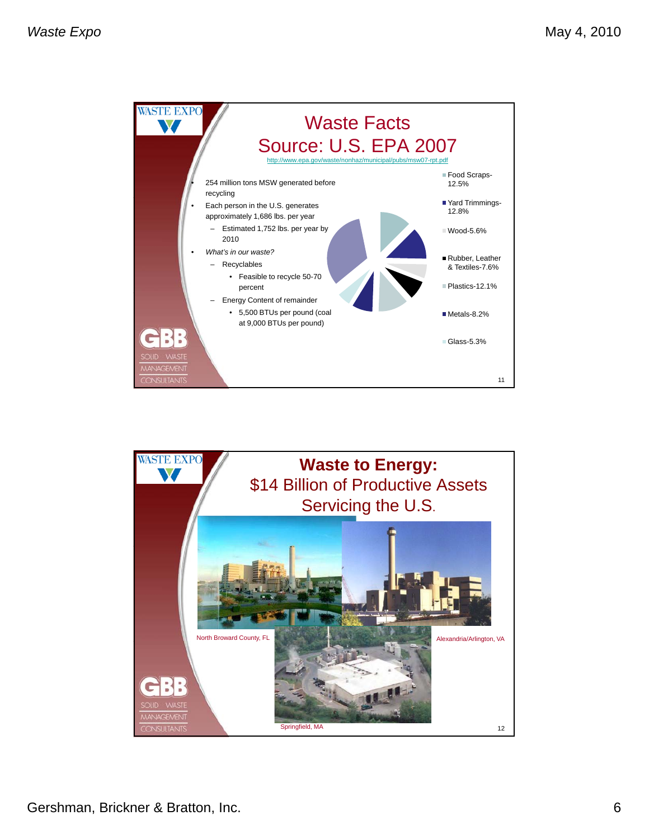

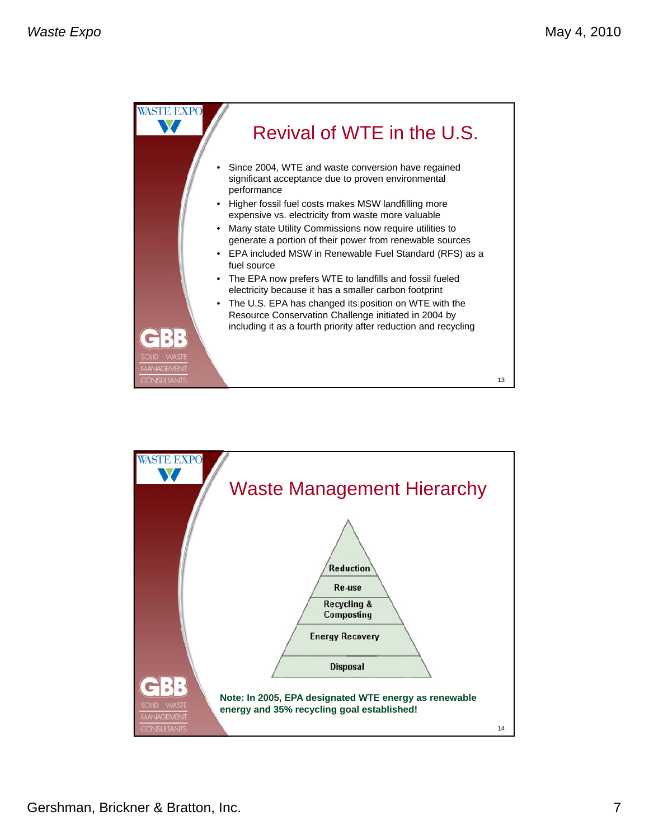

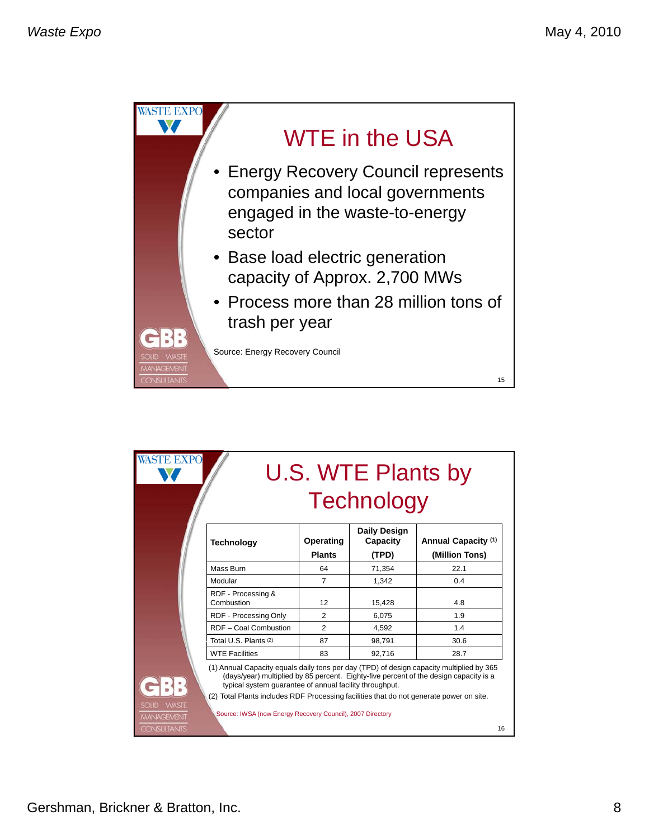

| <b>WASTE EXPO</b>                                 |                                                                                                                                                                                                                                                                                                              | <b>U.S. WTE Plants by</b><br><b>Technology</b> |                                          |                                                                                       |  |  |
|---------------------------------------------------|--------------------------------------------------------------------------------------------------------------------------------------------------------------------------------------------------------------------------------------------------------------------------------------------------------------|------------------------------------------------|------------------------------------------|---------------------------------------------------------------------------------------|--|--|
|                                                   | <b>Technology</b>                                                                                                                                                                                                                                                                                            | Operating<br><b>Plants</b>                     | <b>Daily Design</b><br>Capacity<br>(TPD) | Annual Capacity (1)<br>(Million Tons)                                                 |  |  |
|                                                   | Mass Burn                                                                                                                                                                                                                                                                                                    | 64                                             | 71,354                                   | 22.1                                                                                  |  |  |
|                                                   | Modular                                                                                                                                                                                                                                                                                                      | $\overline{7}$                                 | 1.342                                    | 0.4                                                                                   |  |  |
|                                                   | RDF - Processing &<br>Combustion                                                                                                                                                                                                                                                                             | 12                                             | 15,428                                   | 4.8                                                                                   |  |  |
|                                                   | RDF - Processing Only                                                                                                                                                                                                                                                                                        | $\overline{2}$                                 | 6,075                                    | 1.9                                                                                   |  |  |
|                                                   | RDF - Coal Combustion                                                                                                                                                                                                                                                                                        | $\overline{2}$                                 | 4.592                                    | 1.4                                                                                   |  |  |
|                                                   | Total U.S. Plants (2)                                                                                                                                                                                                                                                                                        | 87                                             | 98,791                                   | 30.6                                                                                  |  |  |
|                                                   | <b>WTE Facilities</b>                                                                                                                                                                                                                                                                                        | 83                                             | 92,716                                   | 28.7                                                                                  |  |  |
| <b>WASTE</b><br><b>SOLID</b><br><b>MANAGEMENT</b> | (1) Annual Capacity equals daily tons per day (TPD) of design capacity multiplied by 365<br>typical system quarantee of annual facility throughput.<br>(2) Total Plants includes RDF Processing facilities that do not generate power on site.<br>Source: IWSA (now Energy Recovery Council), 2007 Directory |                                                |                                          | (days/year) multiplied by 85 percent. Eighty-five percent of the design capacity is a |  |  |
| <b>CONSULTANTS</b>                                |                                                                                                                                                                                                                                                                                                              |                                                |                                          | 16                                                                                    |  |  |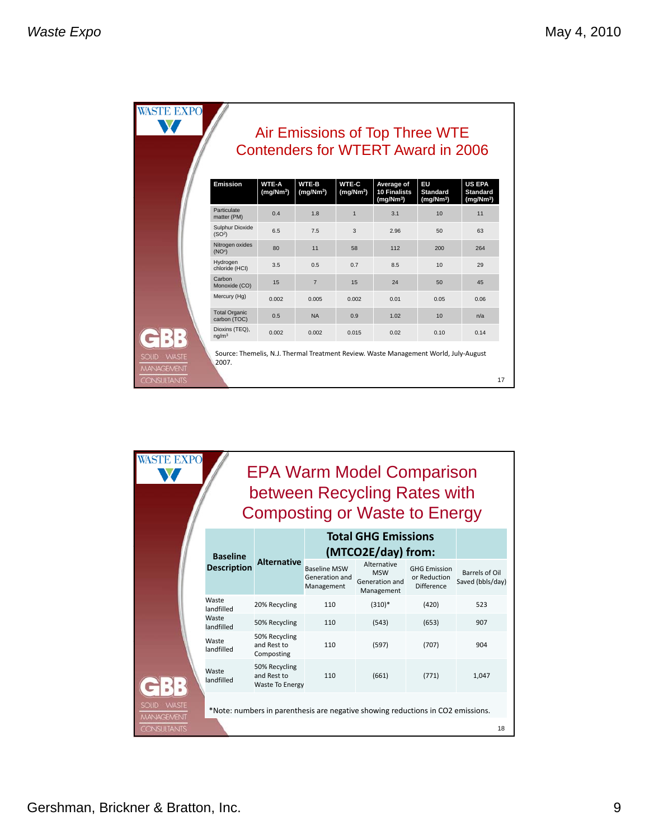|                                                   |                                       |                                       |                                       |                                       | Air Emissions of Top Three WTE<br><b>Contenders for WTERT Award in 2006</b>          |                                                |                                                           |
|---------------------------------------------------|---------------------------------------|---------------------------------------|---------------------------------------|---------------------------------------|--------------------------------------------------------------------------------------|------------------------------------------------|-----------------------------------------------------------|
|                                                   | <b>Emission</b>                       | <b>WTE-A</b><br>(mg/Nm <sup>3</sup> ) | <b>WTE-B</b><br>(mg/Nm <sup>3</sup> ) | <b>WTE-C</b><br>(mg/Nm <sup>3</sup> ) | Average of<br><b>10 Finalists</b><br>(mq/Nm <sup>3</sup> )                           | EU<br><b>Standard</b><br>(mg/Nm <sup>3</sup> ) | <b>US EPA</b><br><b>Standard</b><br>(mg/Nm <sup>3</sup> ) |
|                                                   | Particulate<br>matter (PM)            | 0.4                                   | 1.8                                   | $\mathbf{1}$                          | 3.1                                                                                  | 10                                             | 11                                                        |
|                                                   | Sulphur Dioxide<br>(SO <sup>2</sup> ) | 6.5                                   | 7.5                                   | 3                                     | 2.96                                                                                 | 50                                             | 63                                                        |
|                                                   | Nitrogen oxides<br>(NO <sup>x</sup> ) | 80                                    | 11                                    | 58                                    | 112                                                                                  | 200                                            | 264                                                       |
|                                                   | Hydrogen<br>chloride (HCI)            | 3.5                                   | 0.5                                   | 0.7                                   | 8.5                                                                                  | 10                                             | 29                                                        |
|                                                   | Carbon<br>Monoxide (CO)               | 15                                    | $\overline{7}$                        | 15                                    | 24                                                                                   | 50                                             | 45                                                        |
|                                                   | Mercury (Hg)                          | 0.002                                 | 0.005                                 | 0.002                                 | 0.01                                                                                 | 0.05                                           | 0.06                                                      |
|                                                   | <b>Total Organic</b><br>carbon (TOC)  | 0.5                                   | <b>NA</b>                             | 0.9                                   | 1.02                                                                                 | 10                                             | n/a                                                       |
|                                                   | Dioxins (TEQ),<br>nq/m <sup>3</sup>   | 0.002                                 | 0.002                                 | 0.015                                 | 0.02                                                                                 | 0.10                                           | 0.14                                                      |
| <b>WASTE</b><br><b>SOLID</b><br><b>MANAGEMENT</b> | 2007.                                 |                                       |                                       |                                       | Source: Themelis, N.J. Thermal Treatment Review. Waste Management World, July-August |                                                |                                                           |

| <b>ASTE EXPO</b><br><b>EPA Warm Model Comparison</b><br>between Recycling Rates with<br><b>Composting or Waste to Energy</b> |                     |                                                        |                                                     |                                                                                 |                                                          |                                    |  |
|------------------------------------------------------------------------------------------------------------------------------|---------------------|--------------------------------------------------------|-----------------------------------------------------|---------------------------------------------------------------------------------|----------------------------------------------------------|------------------------------------|--|
|                                                                                                                              | <b>Baseline</b>     |                                                        |                                                     | <b>Total GHG Emissions</b><br>(MTCO2E/day) from:                                |                                                          |                                    |  |
|                                                                                                                              | <b>Description</b>  | <b>Alternative</b>                                     | <b>Baseline MSW</b><br>Generation and<br>Management | Alternative<br><b>MSW</b><br>Generation and<br>Management                       | <b>GHG Emission</b><br>or Reduction<br><b>Difference</b> | Barrels of Oil<br>Saved (bbls/day) |  |
|                                                                                                                              | Waste<br>landfilled | 20% Recycling                                          | 110                                                 | $(310)*$                                                                        | (420)                                                    | 523                                |  |
|                                                                                                                              | Waste<br>landfilled | 50% Recycling                                          | 110                                                 | (543)                                                                           | (653)                                                    | 907                                |  |
|                                                                                                                              | Waste<br>landfilled | 50% Recycling<br>and Rest to<br>Composting             | 110                                                 | (597)                                                                           | (707)                                                    | 904                                |  |
|                                                                                                                              | Waste<br>landfilled | 50% Recycling<br>and Rest to<br><b>Waste To Energy</b> | 110                                                 | (661)                                                                           | (771)                                                    | 1,047                              |  |
| SOLID WASTE<br><b>MANAGEMENT</b>                                                                                             |                     |                                                        |                                                     | *Note: numbers in parenthesis are negative showing reductions in CO2 emissions. |                                                          |                                    |  |
| <b>CONSULTANTS</b>                                                                                                           |                     |                                                        |                                                     |                                                                                 |                                                          | 18                                 |  |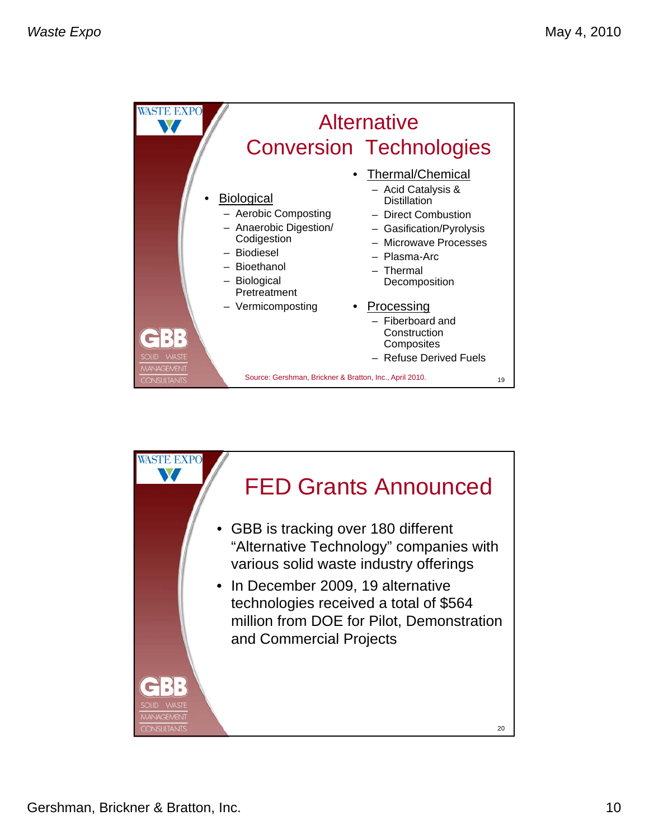| <b>WASTE EXPO</b>                                 |                                                                                                                                                                             | <b>Alternative</b><br><b>Conversion Technologies</b>                                                                                                                                                                                                                            |    |
|---------------------------------------------------|-----------------------------------------------------------------------------------------------------------------------------------------------------------------------------|---------------------------------------------------------------------------------------------------------------------------------------------------------------------------------------------------------------------------------------------------------------------------------|----|
| $-$<br><b>WASTE</b><br>SOLID<br><b>MANAGEMENT</b> | <b>Biological</b><br>- Aerobic Composting<br>- Anaerobic Digestion/<br>Codigestion<br>- Biodiesel<br>- Bioethanol<br><b>Biological</b><br>Pretreatment<br>- Vermicomposting | Thermal/Chemical<br>- Acid Catalysis &<br><b>Distillation</b><br>- Direct Combustion<br>- Gasification/Pyrolysis<br>- Microwave Processes<br>- Plasma-Arc<br>- Thermal<br>Decomposition<br>Processing<br>Fiberboard and<br>Construction<br>Composites<br>- Refuse Derived Fuels |    |
| <b>CONSULTANTS</b>                                | Source: Gershman, Brickner & Bratton, Inc., April 2010.                                                                                                                     |                                                                                                                                                                                                                                                                                 | 19 |

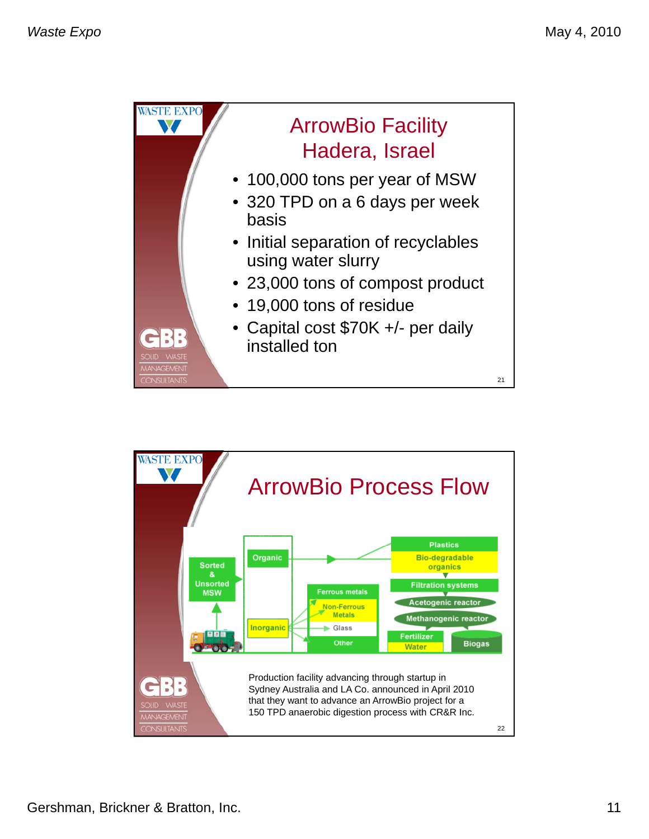

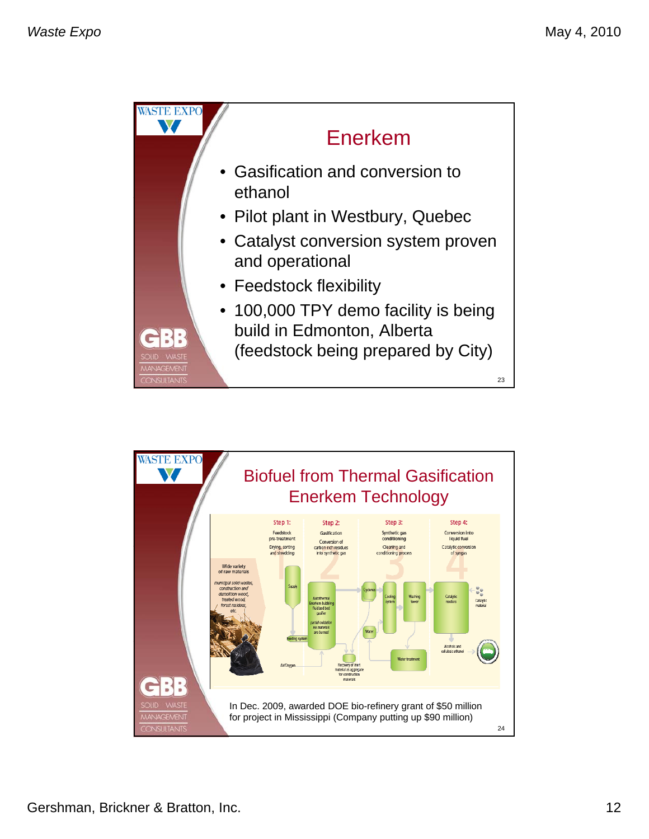

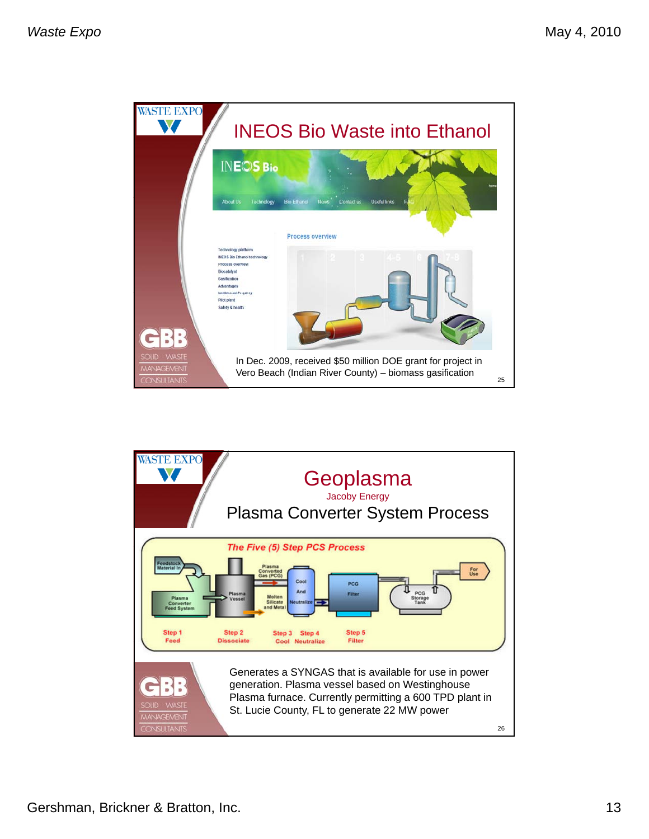

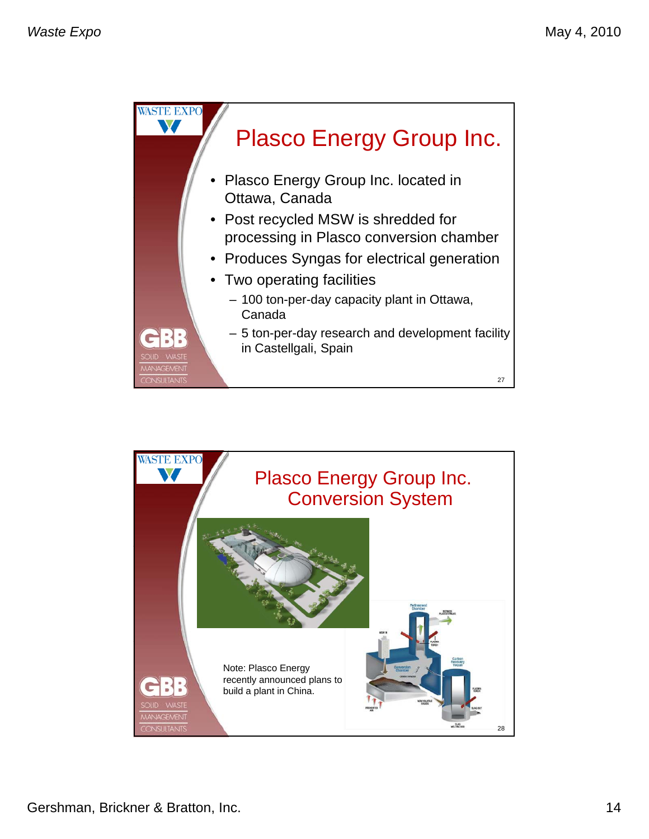

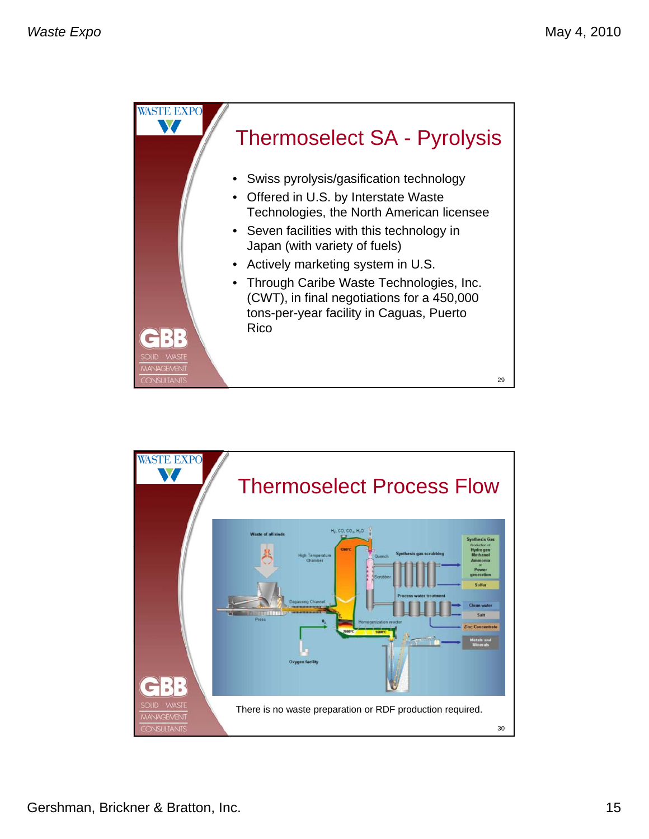

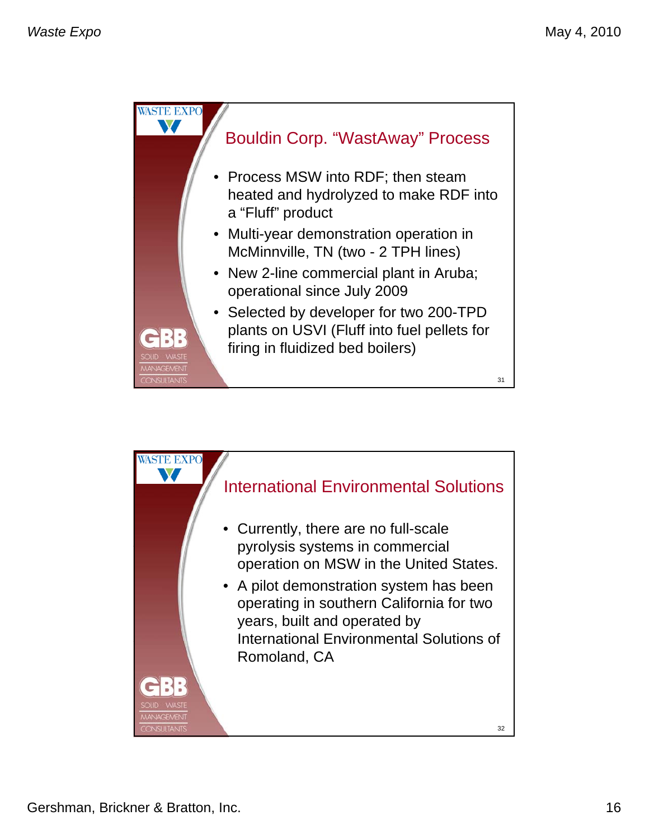

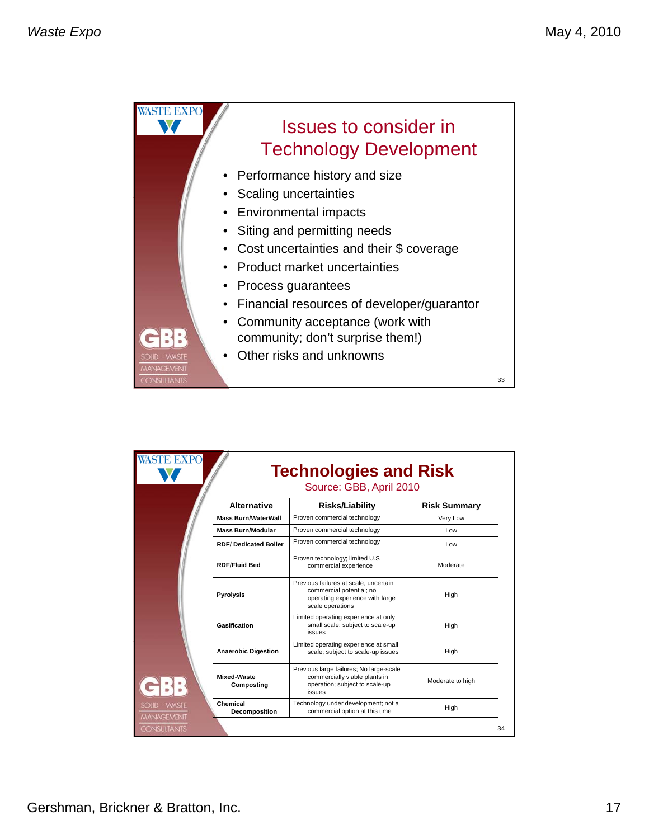

| <b>Alternative</b>               |                                                                                                                             |                     |
|----------------------------------|-----------------------------------------------------------------------------------------------------------------------------|---------------------|
|                                  | <b>Risks/Liability</b>                                                                                                      | <b>Risk Summary</b> |
| <b>Mass Burn/WaterWall</b>       | Proven commercial technology                                                                                                | Very Low            |
| <b>Mass Burn/Modular</b>         | Proven commercial technology                                                                                                | Low                 |
| <b>RDF/Dedicated Boiler</b>      | Proven commercial technology                                                                                                | Low                 |
| <b>RDF/Fluid Bed</b>             | Proven technology; limited U.S.<br>commercial experience                                                                    | Moderate            |
| <b>Pyrolysis</b>                 | Previous failures at scale, uncertain<br>commercial potential; no<br>operating experience with large<br>scale operations    | High                |
| Gasification                     | Limited operating experience at only<br>small scale; subject to scale-up<br><i>issues</i>                                   | High                |
| <b>Anaerobic Digestion</b>       | Limited operating experience at small<br>scale; subject to scale-up issues                                                  | High                |
| <b>Mixed-Waste</b><br>Composting | Previous large failures; No large-scale<br>commercially viable plants in<br>operation; subject to scale-up<br><i>issues</i> | Moderate to high    |
| Chemical<br>Decomposition        | Technology under development; not a<br>commercial option at this time                                                       | High                |
|                                  |                                                                                                                             |                     |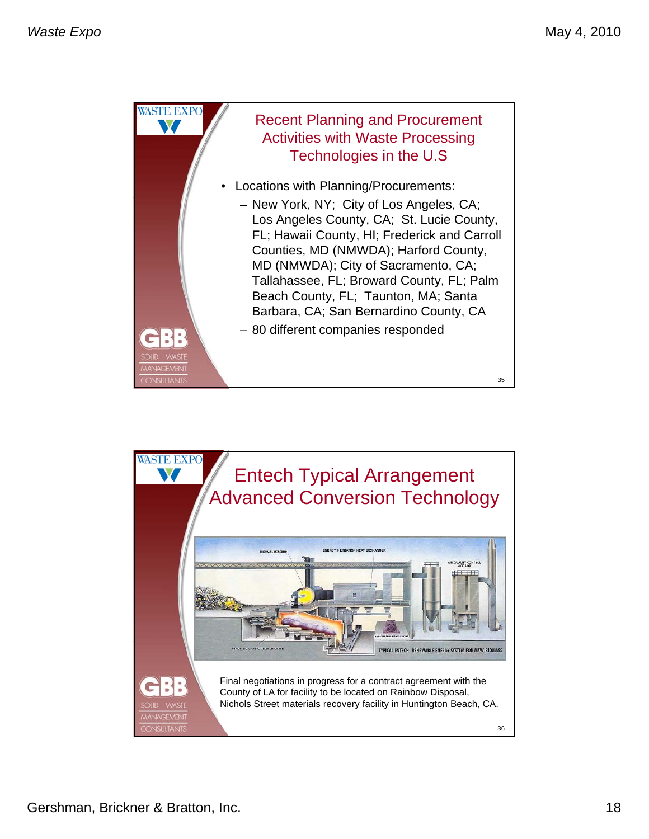![](_page_17_Picture_2.jpeg)

![](_page_17_Picture_3.jpeg)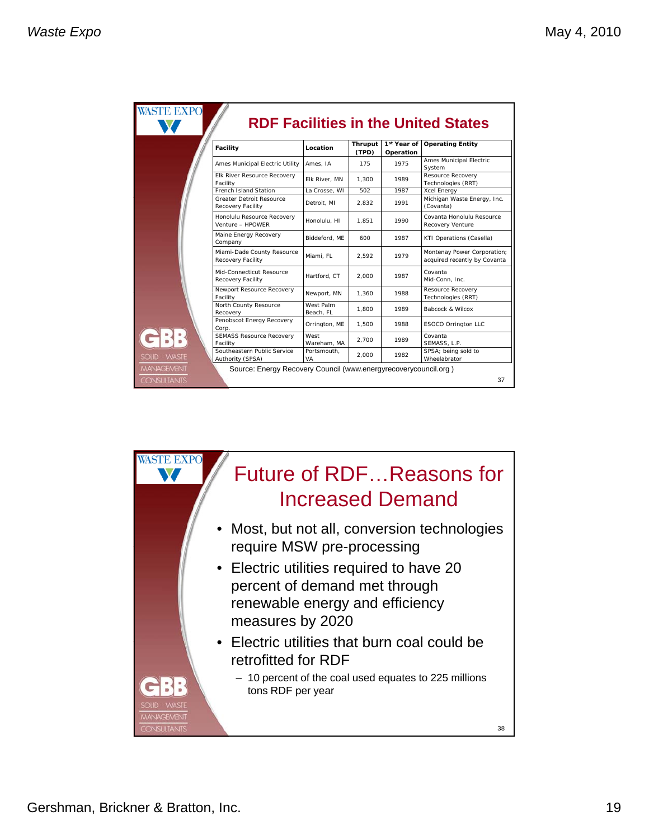| Facility                                        | Location               | Thruput | 1st Year of | <b>RDF Facilities in the United States</b><br><b>Operating Entity</b> |
|-------------------------------------------------|------------------------|---------|-------------|-----------------------------------------------------------------------|
|                                                 |                        | (TPD)   | Operation   |                                                                       |
| Ames Municipal Electric Utility                 | Ames, IA               | 175     | 1975        | Ames Municipal Electric<br>System                                     |
| Elk River Resource Recovery<br>Facility         | Elk River, MN          | 1,300   | 1989        | Resource Recovery<br>Technologies (RRT)                               |
| French Island Station                           | La Crosse, WI          | 502     | 1987        | <b>Xcel Energy</b>                                                    |
| Greater Detroit Resource<br>Recovery Facility   | Detroit, MI            | 2.832   | 1991        | Michigan Waste Energy, Inc.<br>(Covanta)                              |
| Honolulu Resource Recovery<br>Venture - HPOWER  | Honolulu, HI           | 1.851   | 1990        | Covanta Honolulu Resource<br>Recovery Venture                         |
| Maine Energy Recovery<br>Company                | Biddeford, ME          | 600     | 1987        | KTI Operations (Casella)                                              |
| Miami-Dade County Resource<br>Recovery Facility | Miami, FL              | 2.592   | 1979        | Montenay Power Corporation;<br>acquired recently by Covanta           |
| Mid-Connecticut Resource<br>Recovery Facility   | Hartford, CT           | 2.000   | 1987        | Covanta<br>Mid-Conn, Inc.                                             |
| Newport Resource Recovery<br>Facility           | Newport, MN            | 1.360   | 1988        | Resource Recovery<br>Technologies (RRT)                               |
| North County Resource<br>Recovery               | West Palm<br>Beach, FL | 1.800   | 1989        | Babcock & Wilcox                                                      |
| Penobscot Energy Recovery<br>Corp.              | Orrington, ME          | 1.500   | 1988        | ESOCO Orrington LLC                                                   |
| <b>SEMASS Resource Recovery</b><br>Facility     | West<br>Wareham, MA    | 2.700   | 1989        | Covanta<br>SEMASS, L.P.                                               |
| Southeastern Public Service<br>Authority (SPSA) | Portsmouth.<br>VA      | 2.000   | 1982        | SPSA; being sold to<br>Wheelabrator                                   |

![](_page_18_Picture_3.jpeg)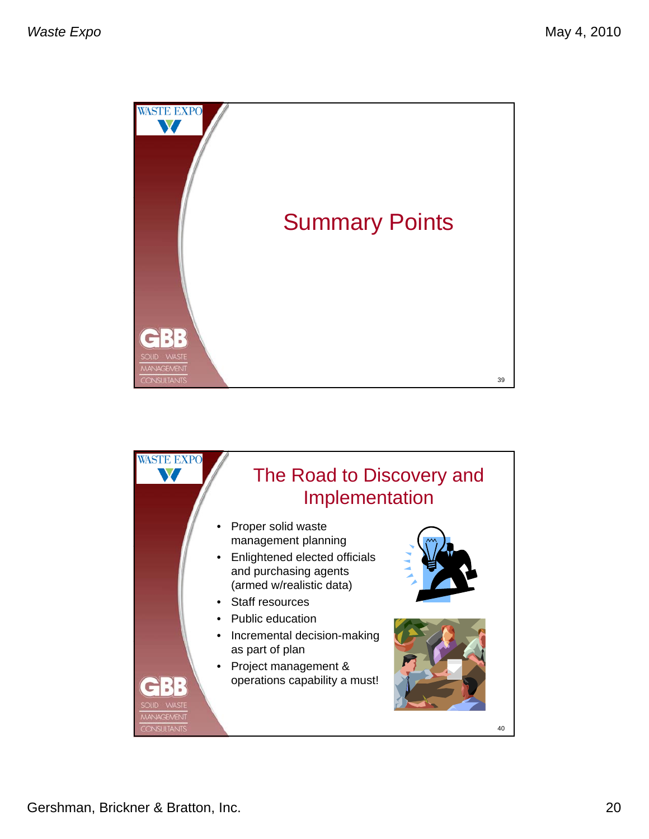![](_page_19_Picture_2.jpeg)

![](_page_19_Picture_3.jpeg)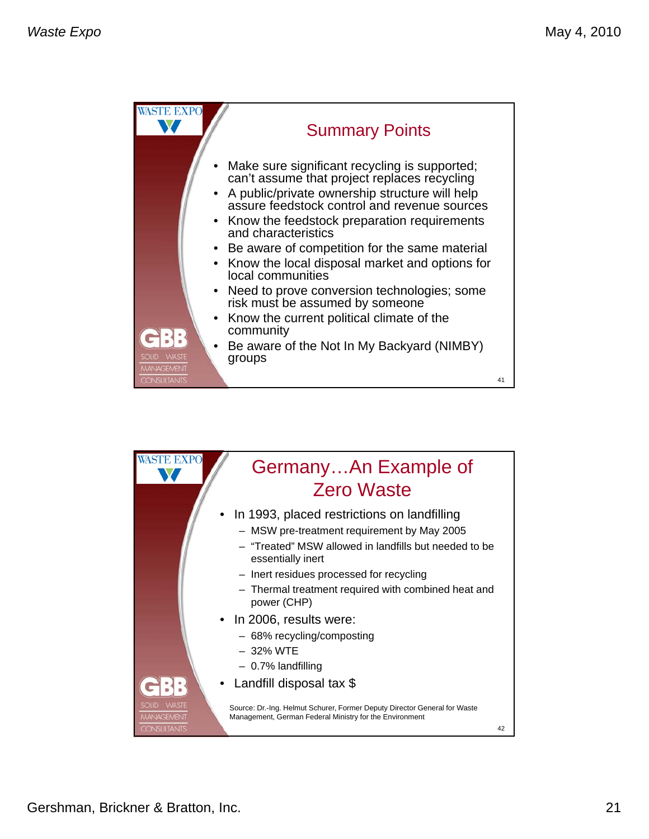![](_page_20_Picture_2.jpeg)

![](_page_20_Picture_3.jpeg)